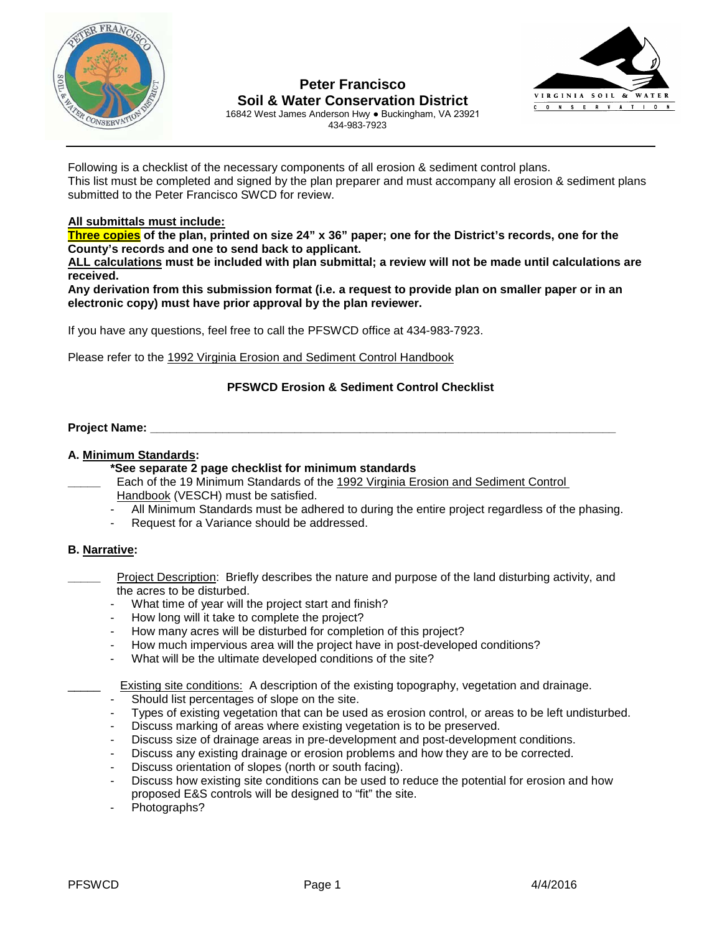

# **Peter Francisco Soil & Water Conservation District**



16842 West James Anderson Hwy ● Buckingham, VA 23921 434-983-7923

Following is a checklist of the necessary components of all erosion & sediment control plans. This list must be completed and signed by the plan preparer and must accompany all erosion & sediment plans submitted to the Peter Francisco SWCD for review.

### **All submittals must include:**

**Three copies of the plan, printed on size 24" x 36" paper; one for the District's records, one for the County's records and one to send back to applicant.**

**ALL calculations must be included with plan submittal; a review will not be made until calculations are received.** 

**Any derivation from this submission format (i.e. a request to provide plan on smaller paper or in an electronic copy) must have prior approval by the plan reviewer.**

If you have any questions, feel free to call the PFSWCD office at 434-983-7923.

Please refer to the 1992 Virginia Erosion and Sediment Control Handbook

#### **PFSWCD Erosion & Sediment Control Checklist**

#### **Project Name: Example 2014**

#### **A. Minimum Standards:**

#### **\*See separate 2 page checklist for minimum standards**

- **\_\_\_\_\_** Each of the 19 Minimum Standards of the 1992 Virginia Erosion and Sediment Control Handbook (VESCH) must be satisfied.
- All Minimum Standards must be adhered to during the entire project regardless of the phasing.
- Request for a Variance should be addressed.

#### **B. Narrative:**

- Project Description: Briefly describes the nature and purpose of the land disturbing activity, and the acres to be disturbed.
- What time of year will the project start and finish?
- How long will it take to complete the project?
- How many acres will be disturbed for completion of this project?
- How much impervious area will the project have in post-developed conditions?
- What will be the ultimate developed conditions of the site?

Existing site conditions: A description of the existing topography, vegetation and drainage.

- Should list percentages of slope on the site.
- Types of existing vegetation that can be used as erosion control, or areas to be left undisturbed.
- Discuss marking of areas where existing vegetation is to be preserved.
- Discuss size of drainage areas in pre-development and post-development conditions.
- Discuss any existing drainage or erosion problems and how they are to be corrected.
- Discuss orientation of slopes (north or south facing).
- Discuss how existing site conditions can be used to reduce the potential for erosion and how proposed E&S controls will be designed to "fit" the site.
- Photographs?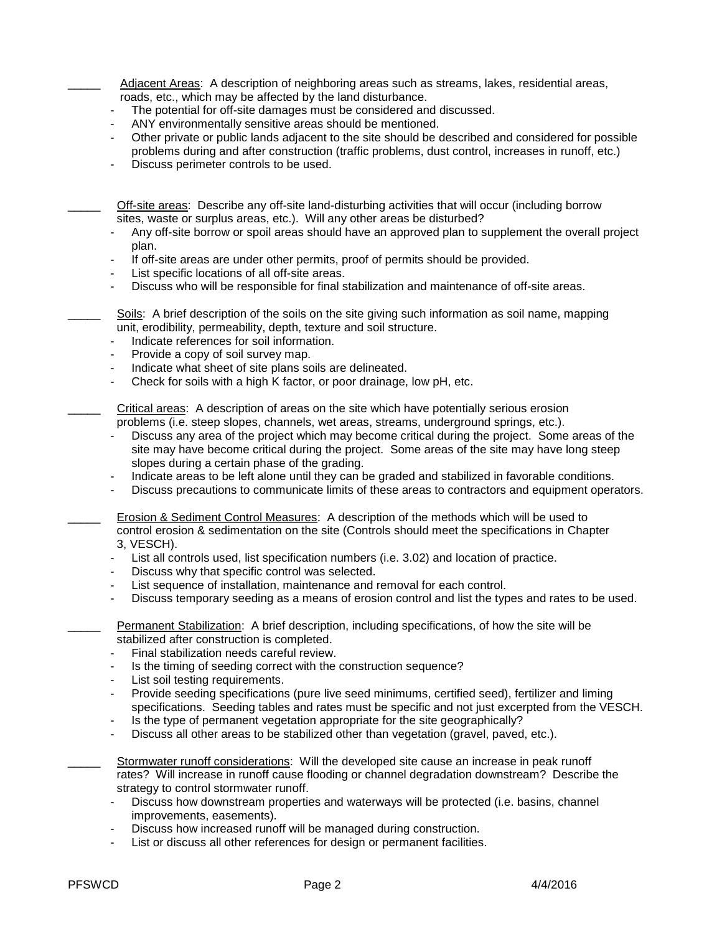Adjacent Areas: A description of neighboring areas such as streams, lakes, residential areas, roads, etc., which may be affected by the land disturbance.

- The potential for off-site damages must be considered and discussed.
- ANY environmentally sensitive areas should be mentioned.
- Other private or public lands adjacent to the site should be described and considered for possible problems during and after construction (traffic problems, dust control, increases in runoff, etc.)
- Discuss perimeter controls to be used.

\_\_\_\_\_ Off-site areas: Describe any off-site land-disturbing activities that will occur (including borrow sites, waste or surplus areas, etc.). Will any other areas be disturbed?

- Any off-site borrow or spoil areas should have an approved plan to supplement the overall project plan.
- If off-site areas are under other permits, proof of permits should be provided.
- List specific locations of all off-site areas.
- Discuss who will be responsible for final stabilization and maintenance of off-site areas.

Soils: A brief description of the soils on the site giving such information as soil name, mapping unit, erodibility, permeability, depth, texture and soil structure.

- Indicate references for soil information.
- Provide a copy of soil survey map.
- Indicate what sheet of site plans soils are delineated.
- Check for soils with a high K factor, or poor drainage, low pH, etc.

Critical areas: A description of areas on the site which have potentially serious erosion problems (i.e. steep slopes, channels, wet areas, streams, underground springs, etc.).

- Discuss any area of the project which may become critical during the project. Some areas of the site may have become critical during the project. Some areas of the site may have long steep slopes during a certain phase of the grading.
- Indicate areas to be left alone until they can be graded and stabilized in favorable conditions.
- Discuss precautions to communicate limits of these areas to contractors and equipment operators.

Erosion & Sediment Control Measures: A description of the methods which will be used to control erosion & sedimentation on the site (Controls should meet the specifications in Chapter 3, VESCH).

- List all controls used, list specification numbers (i.e. 3.02) and location of practice.
- Discuss why that specific control was selected.
- List sequence of installation, maintenance and removal for each control.
- Discuss temporary seeding as a means of erosion control and list the types and rates to be used.
- Permanent Stabilization: A brief description, including specifications, of how the site will be stabilized after construction is completed.
	- Final stabilization needs careful review.
	- Is the timing of seeding correct with the construction sequence?
	- List soil testing requirements.
	- Provide seeding specifications (pure live seed minimums, certified seed), fertilizer and liming specifications. Seeding tables and rates must be specific and not just excerpted from the VESCH.
	- Is the type of permanent vegetation appropriate for the site geographically?
	- Discuss all other areas to be stabilized other than vegetation (gravel, paved, etc.).
	- \_\_\_\_\_ Stormwater runoff considerations: Will the developed site cause an increase in peak runoff rates? Will increase in runoff cause flooding or channel degradation downstream? Describe the strategy to control stormwater runoff.<br>Discuss how downstream properties
		- Discuss how downstream properties and waterways will be protected (i.e. basins, channel improvements, easements).
		- Discuss how increased runoff will be managed during construction.
		- List or discuss all other references for design or permanent facilities.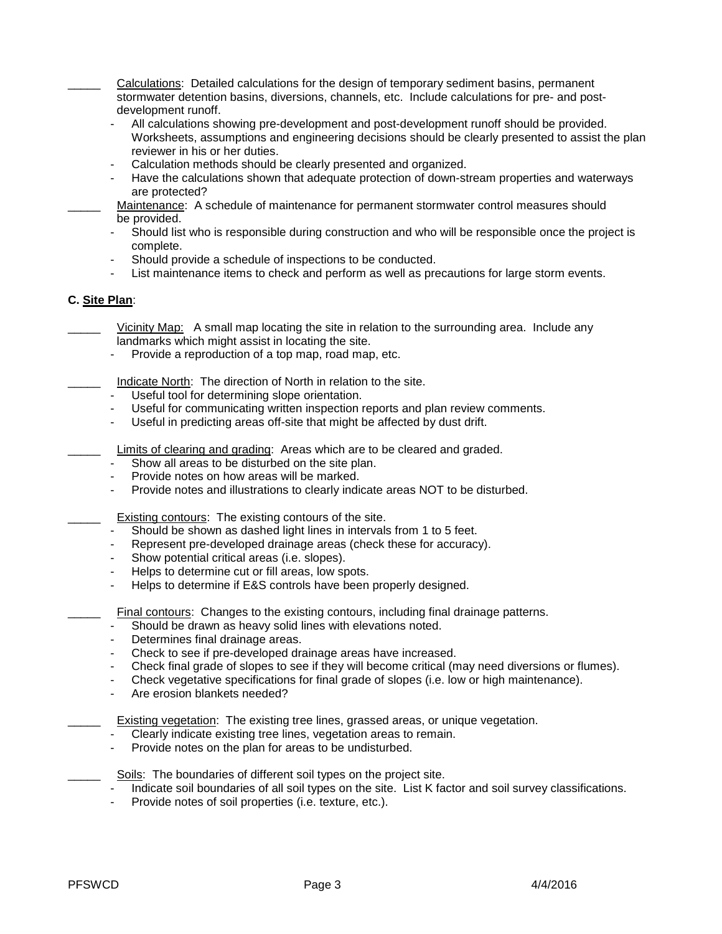\_\_\_\_\_ Calculations: Detailed calculations for the design of temporary sediment basins, permanent stormwater detention basins, diversions, channels, etc. Include calculations for pre- and post development runoff.

- All calculations showing pre-development and post-development runoff should be provided. Worksheets, assumptions and engineering decisions should be clearly presented to assist the plan reviewer in his or her duties.
- Calculation methods should be clearly presented and organized.
- Have the calculations shown that adequate protection of down-stream properties and waterways are protected?
- Maintenance: A schedule of maintenance for permanent stormwater control measures should be provided.
- Should list who is responsible during construction and who will be responsible once the project is complete.
- Should provide a schedule of inspections to be conducted.
- List maintenance items to check and perform as well as precautions for large storm events.

## **C. Site Plan**:

Vicinity Map: A small map locating the site in relation to the surrounding area. Include any landmarks which might assist in locating the site.

- Provide a reproduction of a top map, road map, etc.

Indicate North: The direction of North in relation to the site.

- Useful tool for determining slope orientation.
- Useful for communicating written inspection reports and plan review comments.
- Useful in predicting areas off-site that might be affected by dust drift.
- Limits of clearing and grading: Areas which are to be cleared and graded.
- Show all areas to be disturbed on the site plan.
- Provide notes on how areas will be marked.
- Provide notes and illustrations to clearly indicate areas NOT to be disturbed.

Existing contours: The existing contours of the site.

- Should be shown as dashed light lines in intervals from 1 to 5 feet.
- Represent pre-developed drainage areas (check these for accuracy).
- Show potential critical areas (i.e. slopes).
- Helps to determine cut or fill areas, low spots.
- Helps to determine if E&S controls have been properly designed.

Final contours: Changes to the existing contours, including final drainage patterns.

- Should be drawn as heavy solid lines with elevations noted.
- Determines final drainage areas.
- Check to see if pre-developed drainage areas have increased.
- Check final grade of slopes to see if they will become critical (may need diversions or flumes).
- Check vegetative specifications for final grade of slopes (i.e. low or high maintenance).
- Are erosion blankets needed?

Existing vegetation: The existing tree lines, grassed areas, or unique vegetation.

- Clearly indicate existing tree lines, vegetation areas to remain.
- Provide notes on the plan for areas to be undisturbed.

Soils: The boundaries of different soil types on the project site.

- Indicate soil boundaries of all soil types on the site. List K factor and soil survey classifications.<br>- Provide notes of soil properties (i.e. texture, etc.)
- Provide notes of soil properties (i.e. texture, etc.).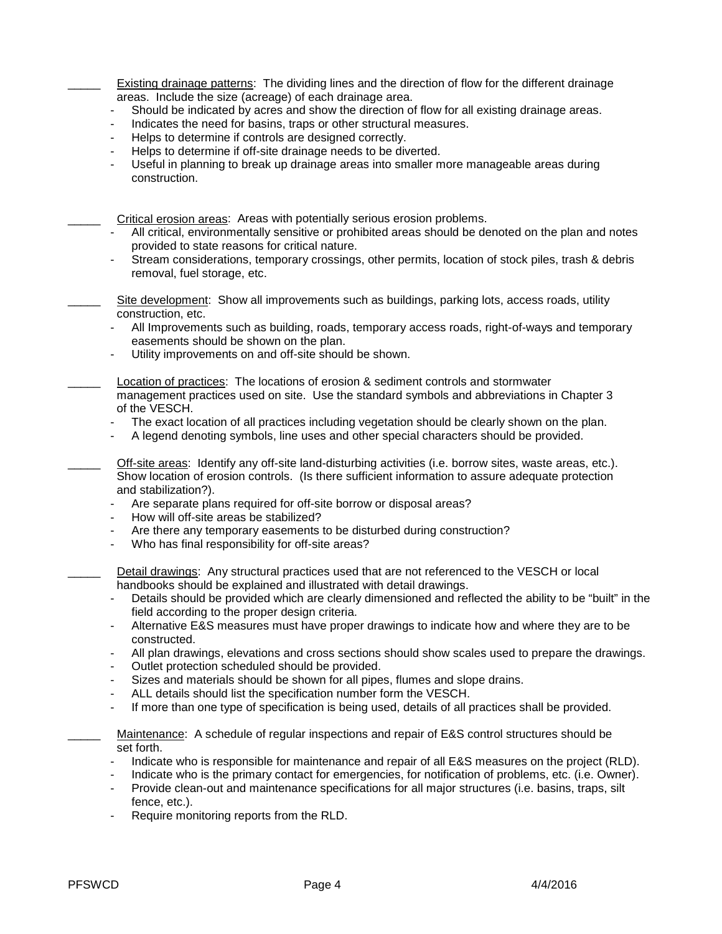Existing drainage patterns: The dividing lines and the direction of flow for the different drainage areas. Include the size (acreage) of each drainage area.

- Should be indicated by acres and show the direction of flow for all existing drainage areas.
- Indicates the need for basins, traps or other structural measures.
- Helps to determine if controls are designed correctly.
- Helps to determine if off-site drainage needs to be diverted.
- Useful in planning to break up drainage areas into smaller more manageable areas during construction.

Critical erosion areas: Areas with potentially serious erosion problems.

- All critical, environmentally sensitive or prohibited areas should be denoted on the plan and notes provided to state reasons for critical nature.
- Stream considerations, temporary crossings, other permits, location of stock piles, trash & debris removal, fuel storage, etc.

Site development: Show all improvements such as buildings, parking lots, access roads, utility construction, etc.

- All Improvements such as building, roads, temporary access roads, right-of-ways and temporary easements should be shown on the plan.
- Utility improvements on and off-site should be shown.
- Location of practices: The locations of erosion & sediment controls and stormwater management practices used on site. Use the standard symbols and abbreviations in Chapter 3 of the VESCH.
- The exact location of all practices including vegetation should be clearly shown on the plan.
- A legend denoting symbols, line uses and other special characters should be provided.

Off-site areas: Identify any off-site land-disturbing activities (i.e. borrow sites, waste areas, etc.). Show location of erosion controls. (Is there sufficient information to assure adequate protection and stabilization?).

- Are separate plans required for off-site borrow or disposal areas?
- How will off-site areas be stabilized?
- Are there any temporary easements to be disturbed during construction?
- Who has final responsibility for off-site areas?

Detail drawings: Any structural practices used that are not referenced to the VESCH or local handbooks should be explained and illustrated with detail drawings.

- Details should be provided which are clearly dimensioned and reflected the ability to be "built" in the field according to the proper design criteria.
- Alternative E&S measures must have proper drawings to indicate how and where they are to be constructed.
- All plan drawings, elevations and cross sections should show scales used to prepare the drawings.
- Outlet protection scheduled should be provided.
- Sizes and materials should be shown for all pipes, flumes and slope drains.
- ALL details should list the specification number form the VESCH.
- If more than one type of specification is being used, details of all practices shall be provided.

Maintenance: A schedule of regular inspections and repair of E&S control structures should be set forth.

- Indicate who is responsible for maintenance and repair of all E&S measures on the project (RLD).
- Indicate who is the primary contact for emergencies, for notification of problems, etc. (i.e. Owner).
- Provide clean-out and maintenance specifications for all major structures (i.e. basins, traps, silt fence, etc.).
- Require monitoring reports from the RLD.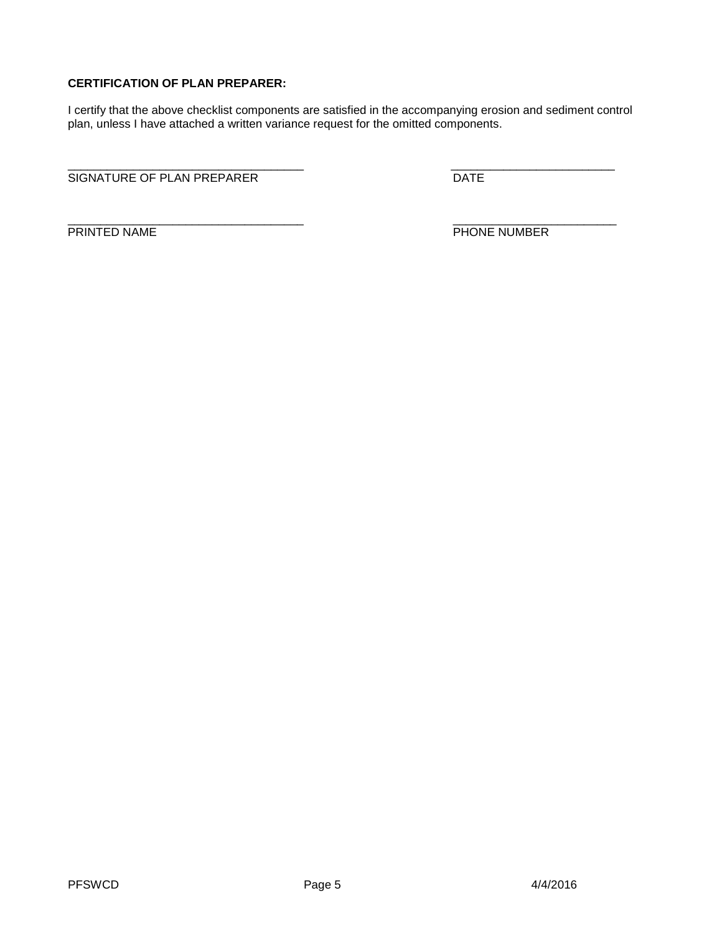## **CERTIFICATION OF PLAN PREPARER:**

I certify that the above checklist components are satisfied in the accompanying erosion and sediment control plan, unless I have attached a written variance request for the omitted components.

\_\_\_\_\_\_\_\_\_\_\_\_\_\_\_\_\_\_\_\_\_\_\_\_\_\_\_\_\_\_\_\_\_\_\_\_ \_\_\_\_\_\_\_\_\_\_\_\_\_\_\_\_\_\_\_\_\_\_\_\_\_ SIGNATURE OF PLAN PREPARER DATE

\_\_\_\_\_\_\_\_\_\_\_\_\_\_\_\_\_\_\_\_\_\_\_\_\_\_\_\_\_\_\_\_\_\_\_\_ \_\_\_\_\_\_\_\_\_\_\_\_\_\_\_\_\_\_\_\_\_\_\_\_\_

PRINTED NAME PHONE NUMBER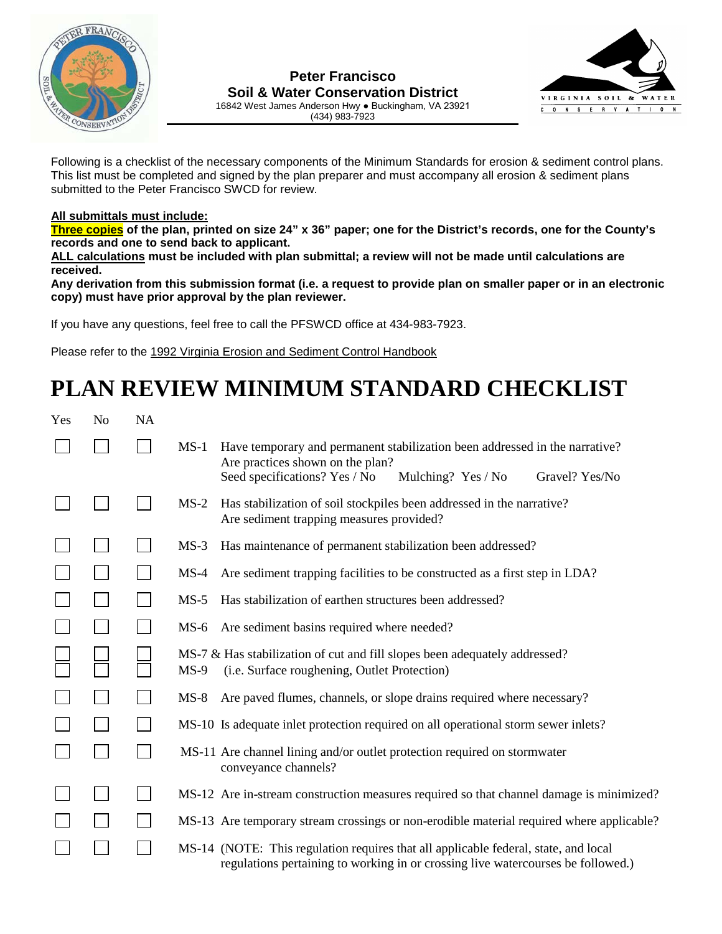

## **Peter Francisco Soil & Water Conservation District** 16842 West James Anderson Hwy ● Buckingham, VA 23921



(434) 983-7923

Following is a checklist of the necessary components of the Minimum Standards for erosion & sediment control plans. This list must be completed and signed by the plan preparer and must accompany all erosion & sediment plans submitted to the Peter Francisco SWCD for review.

# **All submittals must include:**

**Three copies of the plan, printed on size 24" x 36" paper; one for the District's records, one for the County's records and one to send back to applicant.**

**ALL calculations must be included with plan submittal; a review will not be made until calculations are received.** 

**Any derivation from this submission format (i.e. a request to provide plan on smaller paper or in an electronic copy) must have prior approval by the plan reviewer.** 

If you have any questions, feel free to call the PFSWCD office at 434-983-7923.

Please refer to the 1992 Virginia Erosion and Sediment Control Handbook

# **PLAN REVIEW MINIMUM STANDARD CHECKLIST**

| Yes | N <sub>o</sub> | <b>NA</b> |                                                                                                                                                                                                    |
|-----|----------------|-----------|----------------------------------------------------------------------------------------------------------------------------------------------------------------------------------------------------|
|     |                |           | Have temporary and permanent stabilization been addressed in the narrative?<br>$MS-1$<br>Are practices shown on the plan?<br>Seed specifications? Yes / No<br>Mulching? Yes / No<br>Gravel? Yes/No |
|     |                |           | Has stabilization of soil stockpiles been addressed in the narrative?<br>$MS-2$<br>Are sediment trapping measures provided?                                                                        |
|     |                |           | Has maintenance of permanent stabilization been addressed?<br>$MS-3$                                                                                                                               |
|     |                |           | Are sediment trapping facilities to be constructed as a first step in LDA?<br>$MS-4$                                                                                                               |
|     |                |           | Has stabilization of earthen structures been addressed?<br>$MS-5$                                                                                                                                  |
|     |                |           | Are sediment basins required where needed?<br>MS-6                                                                                                                                                 |
|     |                |           | MS-7 & Has stabilization of cut and fill slopes been adequately addressed?<br>(i.e. Surface roughening, Outlet Protection)<br>$MS-9$                                                               |
|     |                |           | Are paved flumes, channels, or slope drains required where necessary?<br>$MS-8$                                                                                                                    |
|     |                |           | MS-10 Is adequate inlet protection required on all operational storm sewer inlets?                                                                                                                 |
|     |                |           | MS-11 Are channel lining and/or outlet protection required on stormwater<br>conveyance channels?                                                                                                   |
|     |                |           | MS-12 Are in-stream construction measures required so that channel damage is minimized?                                                                                                            |
|     |                |           | MS-13 Are temporary stream crossings or non-erodible material required where applicable?                                                                                                           |
|     |                |           | MS-14 (NOTE: This regulation requires that all applicable federal, state, and local<br>regulations pertaining to working in or crossing live watercourses be followed.)                            |